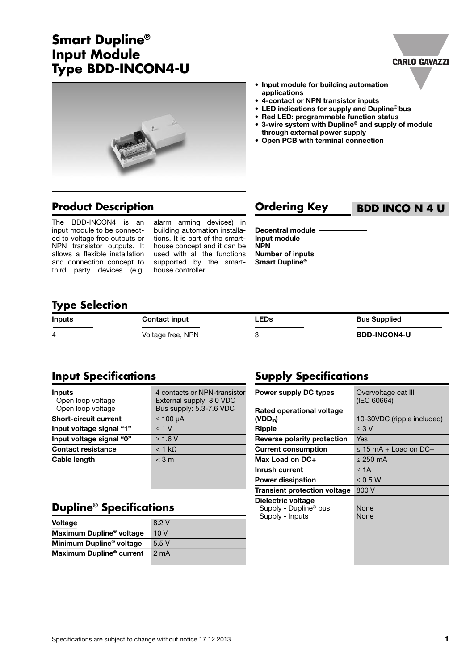# **Smart Dupline® Input Module Type BDD-INCON4-U**



### **• Input module for building automation applications**

- **• 4-contact or NPN transistor inputs**
- **• LED indications for supply and Dupline® bus**
- **• Red LED: programmable function status**
- **• 3-wire system with Dupline® and supply of module through external power supply**
- **• Open PCB with terminal connection**

# **Product Description Ordering Key**

The BDD-INCON4 is an input module to be connected to voltage free outputs or NPN transistor outputs. It allows a flexible installation and connection concept to third party devices (e.g.

alarm arming devices) in building automation installations. It is part of the smarthouse concept and it can be used with all the functions supported by the smarthouse controller.

| <b>Orgering Key</b>                                      | BDD INCO N 4 U |  |  |
|----------------------------------------------------------|----------------|--|--|
| Decentral module —<br>Input module ————<br>$NPN$ ——      |                |  |  |
| <b>Number of inputs</b><br>Smart Dupline <sup>®</sup> —— |                |  |  |

**BDD INCO N 4 U**

**CARLO GAVAZZI** 

### **Type Selection**

| <b>Inputs</b> | <b>Contact input</b> | <b>LEDs</b> | <b>Bus Supplied</b> |
|---------------|----------------------|-------------|---------------------|
|               | Voltage free, NPN    |             | <b>BDD-INCON4-U</b> |

# **Input Specifications**

| Inputs<br>Open loop voltage<br>Open loop voltage | 4 contacts or NPN-transistor<br>External supply: 8.0 VDC<br>Bus supply: 5.3-7.6 VDC |  |
|--------------------------------------------------|-------------------------------------------------------------------------------------|--|
| <b>Short-circuit current</b>                     | $\leq 100$ µA                                                                       |  |
| Input voltage signal "1"                         | < 1 V                                                                               |  |
| Input voltage signal "0"                         | $>1.6$ V                                                                            |  |
| <b>Contact resistance</b>                        | $<$ 1 kO                                                                            |  |
| <b>Cable length</b>                              | $<$ 3 m                                                                             |  |

# **Dupline® Specifications**

| <b>Voltage</b>                       | 8.2 V            |
|--------------------------------------|------------------|
| Maximum Dupline <sup>®</sup> voltage | 10V              |
| Minimum Dupline <sup>®</sup> voltage | 5.5V             |
| Maximum Dupline <sup>®</sup> current | 2 <sub>m</sub> A |

# **Supply Specifications**

| <b>Power supply DC types</b>                                               | Overvoltage cat III<br>(IEC 60664) |  |
|----------------------------------------------------------------------------|------------------------------------|--|
| Rated operational voltage<br>$(VDD_{in})$                                  | 10-30VDC (ripple included)         |  |
| <b>Ripple</b>                                                              | $\leq 3$ V                         |  |
| Reverse polarity protection                                                | Yes                                |  |
| <b>Current consumption</b>                                                 | $\leq$ 15 mA + Load on DC+         |  |
| Max Load on DC+                                                            | $\leq$ 250 mA                      |  |
| Inrush current                                                             | $\leq 1$ A                         |  |
| <b>Power dissipation</b>                                                   | < 0.5 W                            |  |
| Transient protection voltage                                               | 800 V                              |  |
| Dielectric voltage<br>Supply - Dupline <sup>®</sup> bus<br>Supply - Inputs | None<br>None                       |  |